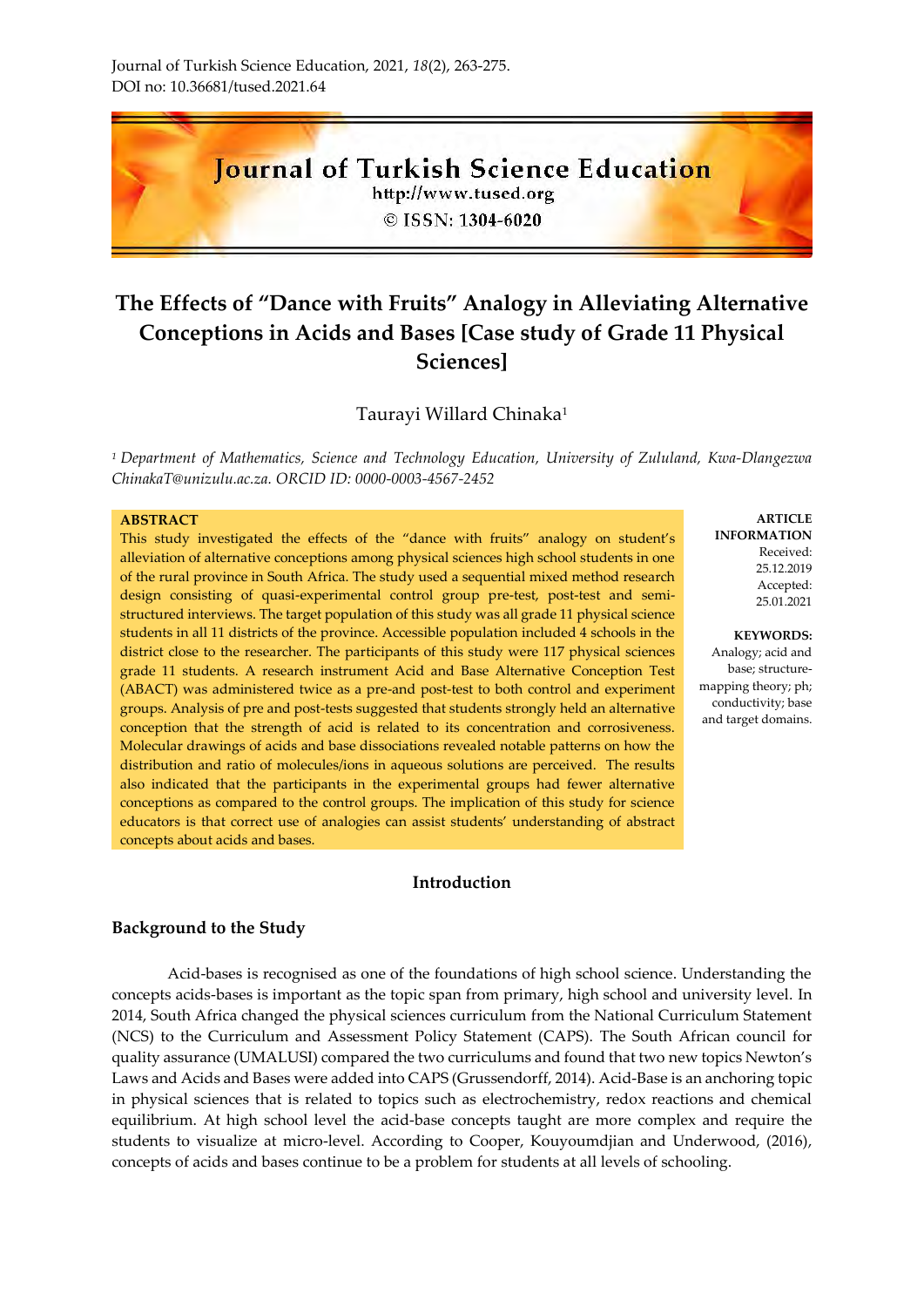# Journal of Turkish Science Education

http://www.tused.org © ISSN: 1304-6020

# **The Effects of "Dance with Fruits" Analogy in Alleviating Alternative Conceptions in Acids and Bases [Case study of Grade 11 Physical Sciences]**

# Taurayi Willard Chinaka<sup>1</sup>

*<sup>1</sup>Department of Mathematics, Science and Technology Education, University of Zululand, Kwa-Dlangezwa [ChinakaT@unizulu.ac.za.](mailto:ChinakaT@unizulu.ac.za) [ORCID ID: 0000-0003-4567-2452](https://orcid.org/0000-0003-4567-2452)*

#### **ABSTRACT**

This study investigated the effects of the "dance with fruits" analogy on student's alleviation of alternative conceptions among physical sciences high school students in one of the rural province in South Africa. The study used a sequential mixed method research design consisting of quasi-experimental control group pre-test, post-test and semistructured interviews. The target population of this study was all grade 11 physical science students in all 11 districts of the province. Accessible population included 4 schools in the district close to the researcher. The participants of this study were 117 physical sciences grade 11 students. A research instrument Acid and Base Alternative Conception Test (ABACT) was administered twice as a pre-and post-test to both control and experiment groups. Analysis of pre and post-tests suggested that students strongly held an alternative conception that the strength of acid is related to its concentration and corrosiveness. Molecular drawings of acids and base dissociations revealed notable patterns on how the distribution and ratio of molecules/ions in aqueous solutions are perceived. The results also indicated that the participants in the experimental groups had fewer alternative conceptions as compared to the control groups. The implication of this study for science educators is that correct use of analogies can assist students' understanding of abstract concepts about acids and bases.

# **Introduction**

# **Background to the Study**

Acid-bases is recognised as one of the foundations of high school science. Understanding the concepts acids-bases is important as the topic span from primary, high school and university level. In 2014, South Africa changed the physical sciences curriculum from the National Curriculum Statement (NCS) to the Curriculum and Assessment Policy Statement (CAPS). The South African council for quality assurance (UMALUSI) compared the two curriculums and found that two new topics Newton's Laws and Acids and Bases were added into CAPS (Grussendorff, 2014). Acid-Base is an anchoring topic in physical sciences that is related to topics such as electrochemistry, redox reactions and chemical equilibrium. At high school level the acid-base concepts taught are more complex and require the students to visualize at micro-level. According to Cooper, Kouyoumdjian and Underwood, (2016), concepts of acids and bases continue to be a problem for students at all levels of schooling.

**ARTICLE INFORMATION** Received: 25.12.2019 Accepted: 25.01.2021

#### **KEYWORDS:**

Analogy; acid and base; structuremapping theory; ph; conductivity; base and target domains.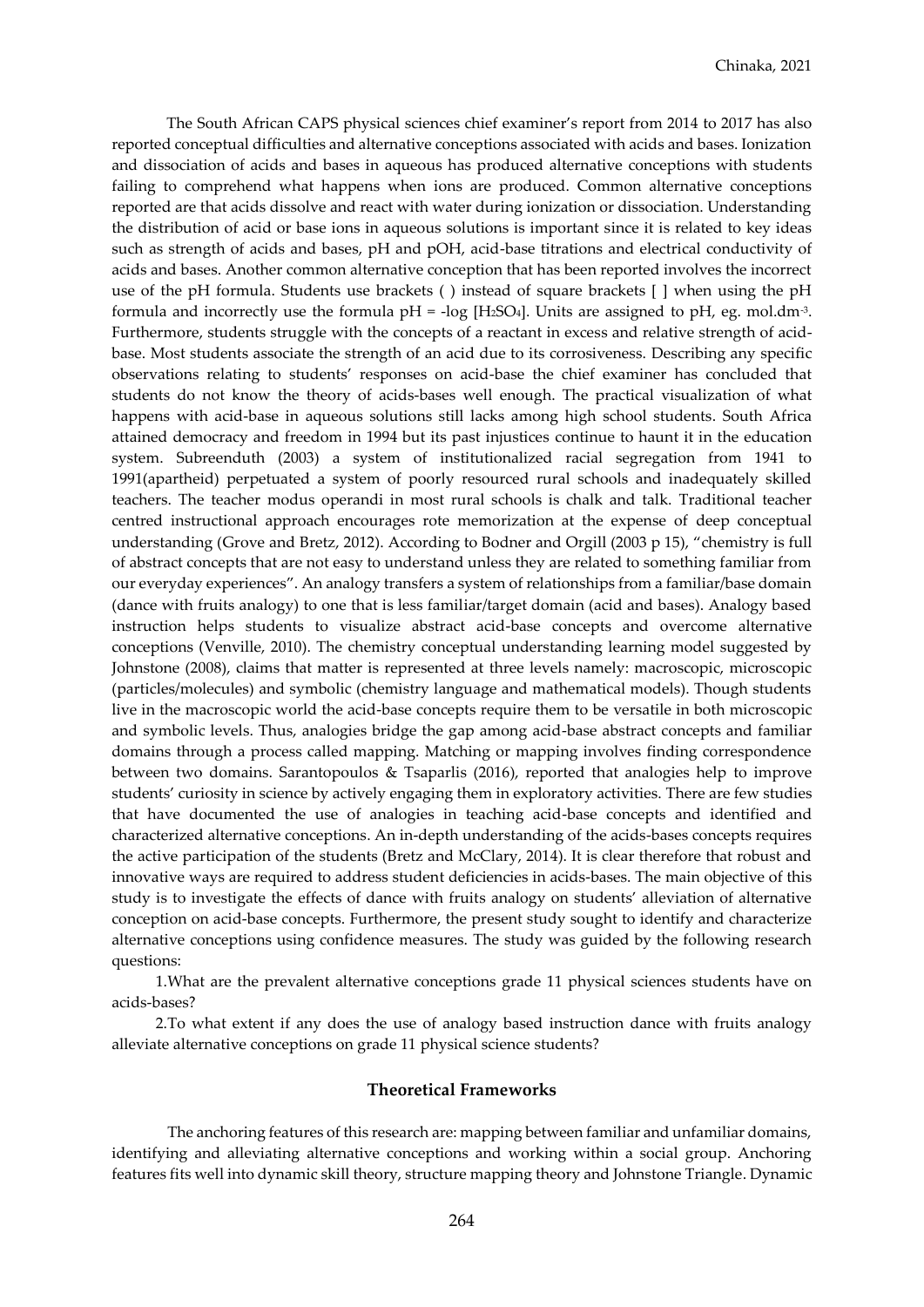The South African CAPS physical sciences chief examiner's report from 2014 to 2017 has also reported conceptual difficulties and alternative conceptions associated with acids and bases. Ionization and dissociation of acids and bases in aqueous has produced alternative conceptions with students failing to comprehend what happens when ions are produced. Common alternative conceptions reported are that acids dissolve and react with water during ionization or dissociation. Understanding the distribution of acid or base ions in aqueous solutions is important since it is related to key ideas such as strength of acids and bases, pH and pOH, acid-base titrations and electrical conductivity of acids and bases. Another common alternative conception that has been reported involves the incorrect use of the pH formula. Students use brackets ( ) instead of square brackets [ ] when using the pH formula and incorrectly use the formula  $pH = -log [HzSO<sub>4</sub>]$ . Units are assigned to  $pH$ , eg. mol.dm<sup>-3</sup>. Furthermore, students struggle with the concepts of a reactant in excess and relative strength of acidbase. Most students associate the strength of an acid due to its corrosiveness. Describing any specific observations relating to students' responses on acid-base the chief examiner has concluded that students do not know the theory of acids-bases well enough. The practical visualization of what happens with acid-base in aqueous solutions still lacks among high school students. South Africa attained democracy and freedom in 1994 but its past injustices continue to haunt it in the education system. Subreenduth (2003) a system of institutionalized racial segregation from 1941 to 1991(apartheid) perpetuated a system of poorly resourced rural schools and inadequately skilled teachers. The teacher modus operandi in most rural schools is chalk and talk. Traditional teacher centred instructional approach encourages rote memorization at the expense of deep conceptual understanding (Grove and Bretz, 2012). According to Bodner and Orgill (2003 p 15), "chemistry is full of abstract concepts that are not easy to understand unless they are related to something familiar from our everyday experiences". An analogy transfers a system of relationships from a familiar/base domain (dance with fruits analogy) to one that is less familiar/target domain (acid and bases). Analogy based instruction helps students to visualize abstract acid-base concepts and overcome alternative conceptions (Venville, 2010). The chemistry conceptual understanding learning model suggested by Johnstone (2008), claims that matter is represented at three levels namely: macroscopic, microscopic (particles/molecules) and symbolic (chemistry language and mathematical models). Though students live in the macroscopic world the acid-base concepts require them to be versatile in both microscopic and symbolic levels. Thus, analogies bridge the gap among acid-base abstract concepts and familiar domains through a process called mapping. Matching or mapping involves finding correspondence between two domains. Sarantopoulos & Tsaparlis (2016), reported that analogies help to improve students' curiosity in science by actively engaging them in exploratory activities. There are few studies that have documented the use of analogies in teaching acid-base concepts and identified and characterized alternative conceptions. An in-depth understanding of the acids-bases concepts requires the active participation of the students (Bretz and McClary, 2014). It is clear therefore that robust and innovative ways are required to address student deficiencies in acids-bases. The main objective of this study is to investigate the effects of dance with fruits analogy on students' alleviation of alternative conception on acid-base concepts. Furthermore, the present study sought to identify and characterize alternative conceptions using confidence measures. The study was guided by the following research questions:

1.What are the prevalent alternative conceptions grade 11 physical sciences students have on acids-bases?

2.To what extent if any does the use of analogy based instruction dance with fruits analogy alleviate alternative conceptions on grade 11 physical science students?

#### **Theoretical Frameworks**

The anchoring features of this research are: mapping between familiar and unfamiliar domains, identifying and alleviating alternative conceptions and working within a social group. Anchoring features fits well into dynamic skill theory, structure mapping theory and Johnstone Triangle. Dynamic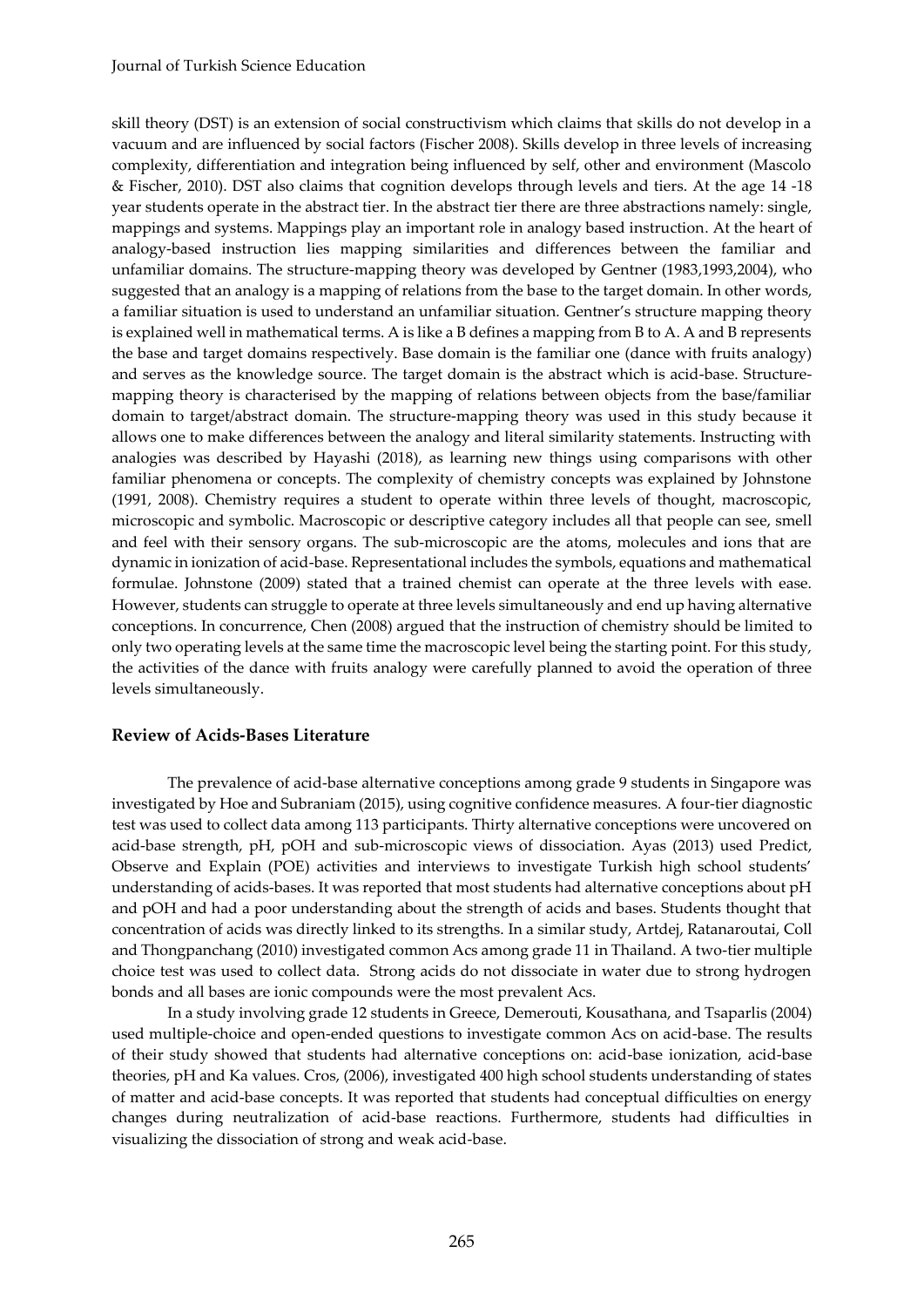skill theory (DST) is an extension of social constructivism which claims that skills do not develop in a vacuum and are influenced by social factors (Fischer 2008). Skills develop in three levels of increasing complexity, differentiation and integration being influenced by self, other and environment (Mascolo & Fischer, 2010). DST also claims that cognition develops through levels and tiers. At the age 14 -18 year students operate in the abstract tier. In the abstract tier there are three abstractions namely: single, mappings and systems. Mappings play an important role in analogy based instruction. At the heart of analogy-based instruction lies mapping similarities and differences between the familiar and unfamiliar domains. The structure-mapping theory was developed by Gentner (1983,1993,2004), who suggested that an analogy is a mapping of relations from the base to the target domain. In other words, a familiar situation is used to understand an unfamiliar situation. Gentner's structure mapping theory is explained well in mathematical terms. A is like a B defines a mapping from B to A. A and B represents the base and target domains respectively. Base domain is the familiar one (dance with fruits analogy) and serves as the knowledge source. The target domain is the abstract which is acid-base. Structuremapping theory is characterised by the mapping of relations between objects from the base/familiar domain to target/abstract domain. The structure-mapping theory was used in this study because it allows one to make differences between the analogy and literal similarity statements. Instructing with analogies was described by Hayashi (2018), as learning new things using comparisons with other familiar phenomena or concepts. The complexity of chemistry concepts was explained by Johnstone (1991, 2008). Chemistry requires a student to operate within three levels of thought, macroscopic, microscopic and symbolic. Macroscopic or descriptive category includes all that people can see, smell and feel with their sensory organs. The sub-microscopic are the atoms, molecules and ions that are dynamic in ionization of acid-base. Representational includes the symbols, equations and mathematical formulae. Johnstone (2009) stated that a trained chemist can operate at the three levels with ease. However, students can struggle to operate at three levels simultaneously and end up having alternative conceptions. In concurrence, Chen (2008) argued that the instruction of chemistry should be limited to only two operating levels at the same time the macroscopic level being the starting point. For this study, the activities of the dance with fruits analogy were carefully planned to avoid the operation of three levels simultaneously.

# **Review of Acids-Bases Literature**

The prevalence of acid-base alternative conceptions among grade 9 students in Singapore was investigated by Hoe and Subraniam (2015), using cognitive confidence measures. A four-tier diagnostic test was used to collect data among 113 participants. Thirty alternative conceptions were uncovered on acid-base strength, pH, pOH and sub-microscopic views of dissociation. Ayas (2013) used Predict, Observe and Explain (POE) activities and interviews to investigate Turkish high school students' understanding of acids-bases. It was reported that most students had alternative conceptions about pH and pOH and had a poor understanding about the strength of acids and bases. Students thought that concentration of acids was directly linked to its strengths. In a similar study, Artdej, Ratanaroutai, Coll and Thongpanchang (2010) investigated common Acs among grade 11 in Thailand. A two-tier multiple choice test was used to collect data. Strong acids do not dissociate in water due to strong hydrogen bonds and all bases are ionic compounds were the most prevalent Acs.

In a study involving grade 12 students in Greece, Demerouti, Kousathana, and Tsaparlis (2004) used multiple-choice and open-ended questions to investigate common Acs on acid-base. The results of their study showed that students had alternative conceptions on: acid-base ionization, acid-base theories, pH and Ka values. Cros, (2006), investigated 400 high school students understanding of states of matter and acid-base concepts. It was reported that students had conceptual difficulties on energy changes during neutralization of acid-base reactions. Furthermore, students had difficulties in visualizing the dissociation of strong and weak acid-base.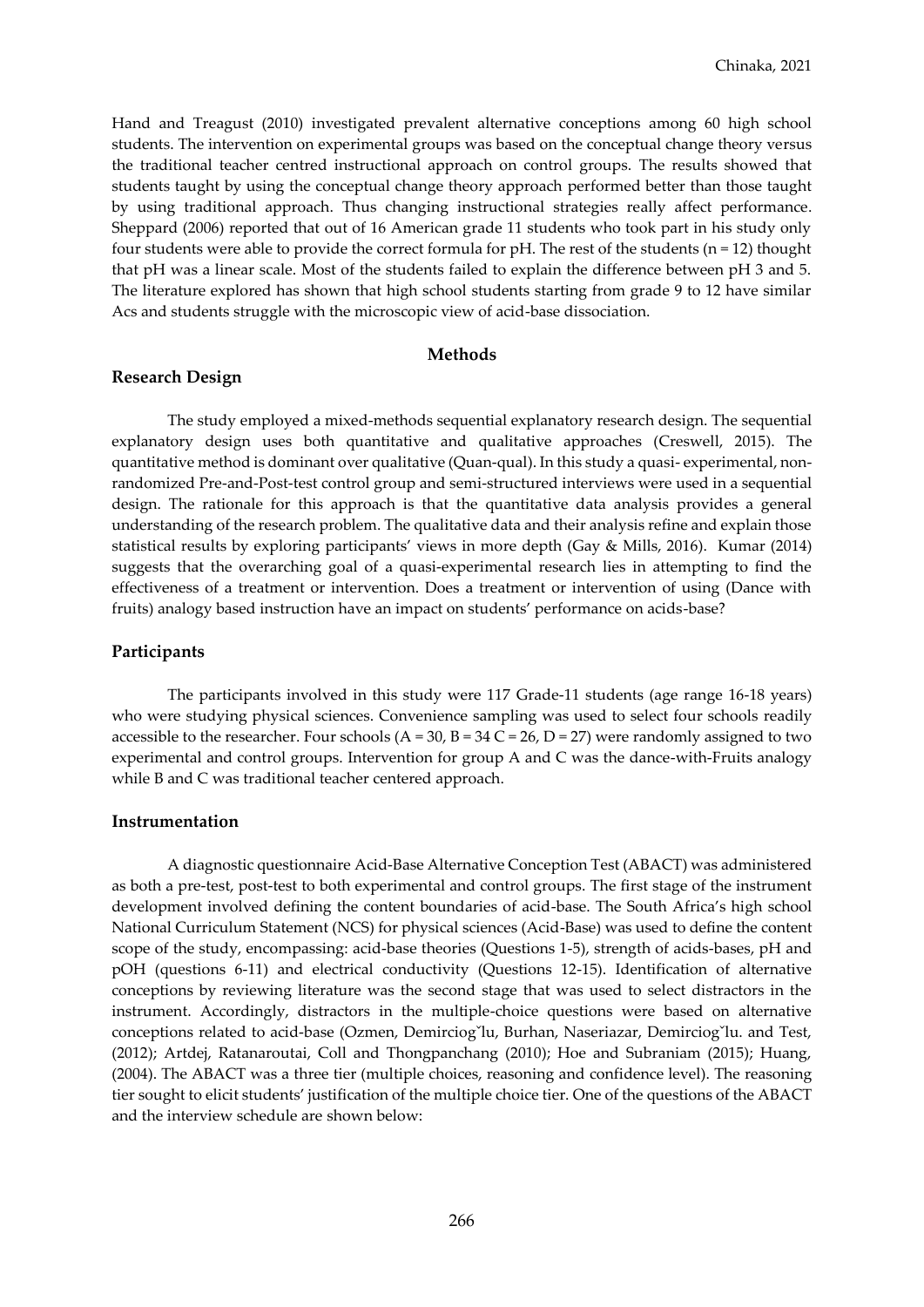Hand and Treagust (2010) investigated prevalent alternative conceptions among 60 high school students. The intervention on experimental groups was based on the conceptual change theory versus the traditional teacher centred instructional approach on control groups. The results showed that students taught by using the conceptual change theory approach performed better than those taught by using traditional approach. Thus changing instructional strategies really affect performance. Sheppard (2006) reported that out of 16 American grade 11 students who took part in his study only four students were able to provide the correct formula for  $pH$ . The rest of the students ( $n = 12$ ) thought that pH was a linear scale. Most of the students failed to explain the difference between pH 3 and 5. The literature explored has shown that high school students starting from grade 9 to 12 have similar Acs and students struggle with the microscopic view of acid-base dissociation.

#### **Methods**

#### **Research Design**

The study employed a mixed-methods sequential explanatory research design. The sequential explanatory design uses both quantitative and qualitative approaches (Creswell, 2015). The quantitative method is dominant over qualitative (Quan-qual). In this study a quasi- experimental, nonrandomized Pre-and-Post-test control group and semi-structured interviews were used in a sequential design. The rationale for this approach is that the quantitative data analysis provides a general understanding of the research problem. The qualitative data and their analysis refine and explain those statistical results by exploring participants' views in more depth (Gay & Mills, 2016). Kumar (2014) suggests that the overarching goal of a quasi-experimental research lies in attempting to find the effectiveness of a treatment or intervention. Does a treatment or intervention of using (Dance with fruits) analogy based instruction have an impact on students' performance on acids-base?

#### **Participants**

The participants involved in this study were 117 Grade-11 students (age range 16-18 years) who were studying physical sciences. Convenience sampling was used to select four schools readily accessible to the researcher. Four schools  $(A = 30, B = 34 C = 26, D = 27)$  were randomly assigned to two experimental and control groups. Intervention for group A and C was the dance-with-Fruits analogy while B and C was traditional teacher centered approach.

#### **Instrumentation**

A diagnostic questionnaire Acid-Base Alternative Conception Test (ABACT) was administered as both a pre-test, post-test to both experimental and control groups. The first stage of the instrument development involved defining the content boundaries of acid-base. The South Africa's high school National Curriculum Statement (NCS) for physical sciences (Acid-Base) was used to define the content scope of the study, encompassing: acid-base theories (Questions 1-5), strength of acids-bases, pH and pOH (questions 6-11) and electrical conductivity (Questions 12-15). Identification of alternative conceptions by reviewing literature was the second stage that was used to select distractors in the instrument. Accordingly, distractors in the multiple-choice questions were based on alternative conceptions related to acid-base (Ozmen, Demirciogˇlu, Burhan, Naseriazar, Demirciogˇlu. and Test, (2012); Artdej, Ratanaroutai, Coll and Thongpanchang (2010); Hoe and Subraniam (2015); Huang, (2004). The ABACT was a three tier (multiple choices, reasoning and confidence level). The reasoning tier sought to elicit students' justification of the multiple choice tier. One of the questions of the ABACT and the interview schedule are shown below: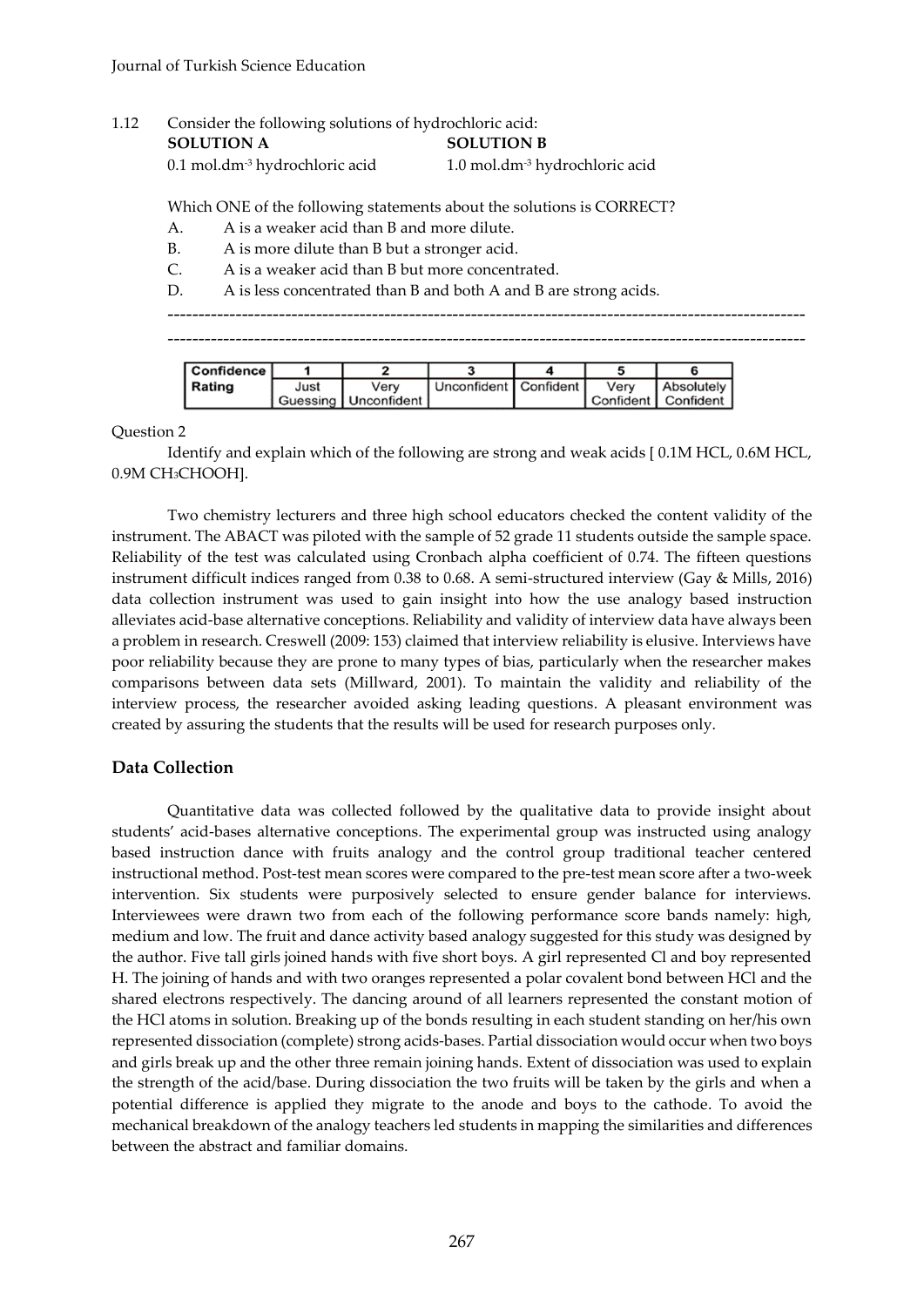# 1.12 Consider the following solutions of hydrochloric acid: **SOLUTION A SOLUTION B**

0.1 mol.dm-3 hydrochloric acid 1.0 mol.dm-3 hydrochloric acid

Which ONE of the following statements about the solutions is CORRECT?

- A. A is a weaker acid than B and more dilute.
- B. A is more dilute than B but a stronger acid.
- C. A is a weaker acid than B but more concentrated.
- D. A is less concentrated than B and both A and B are strong acids.

| Confidence |      |                        |                         |      |                       |
|------------|------|------------------------|-------------------------|------|-----------------------|
| Rating     | Just | Verv                   | Unconfident   Confident | Verv | <b>Absolutely</b>     |
|            |      | Guessing   Unconfident |                         |      | Confident   Confident |

Question 2

|                              | Identify and explain which of the following are strong and weak acids [0.1M HCL, 0.6M HCL, |
|------------------------------|--------------------------------------------------------------------------------------------|
| 0.9M CH <sub>3</sub> CHOOH]. |                                                                                            |

Two chemistry lecturers and three high school educators checked the content validity of the instrument. The ABACT was piloted with the sample of 52 grade 11 students outside the sample space. Reliability of the test was calculated using Cronbach alpha coefficient of 0.74. The fifteen questions instrument difficult indices ranged from 0.38 to 0.68. A semi-structured interview (Gay & Mills, 2016) data collection instrument was used to gain insight into how the use analogy based instruction alleviates acid-base alternative conceptions. Reliability and validity of interview data have always been a problem in research. Creswell (2009: 153) claimed that interview reliability is elusive. Interviews have poor reliability because they are prone to many types of bias, particularly when the researcher makes comparisons between data sets (Millward, 2001). To maintain the validity and reliability of the interview process, the researcher avoided asking leading questions. A pleasant environment was created by assuring the students that the results will be used for research purposes only.

# **Data Collection**

Quantitative data was collected followed by the qualitative data to provide insight about students' acid-bases alternative conceptions. The experimental group was instructed using analogy based instruction dance with fruits analogy and the control group traditional teacher centered instructional method. Post-test mean scores were compared to the pre-test mean score after a two-week intervention. Six students were purposively selected to ensure gender balance for interviews. Interviewees were drawn two from each of the following performance score bands namely: high, medium and low. The fruit and dance activity based analogy suggested for this study was designed by the author. Five tall girls joined hands with five short boys. A girl represented Cl and boy represented H. The joining of hands and with two oranges represented a polar covalent bond between HCl and the shared electrons respectively. The dancing around of all learners represented the constant motion of the HCl atoms in solution. Breaking up of the bonds resulting in each student standing on her/his own represented dissociation (complete) strong acids-bases. Partial dissociation would occur when two boys and girls break up and the other three remain joining hands. Extent of dissociation was used to explain the strength of the acid/base. During dissociation the two fruits will be taken by the girls and when a potential difference is applied they migrate to the anode and boys to the cathode. To avoid the mechanical breakdown of the analogy teachers led students in mapping the similarities and differences between the abstract and familiar domains.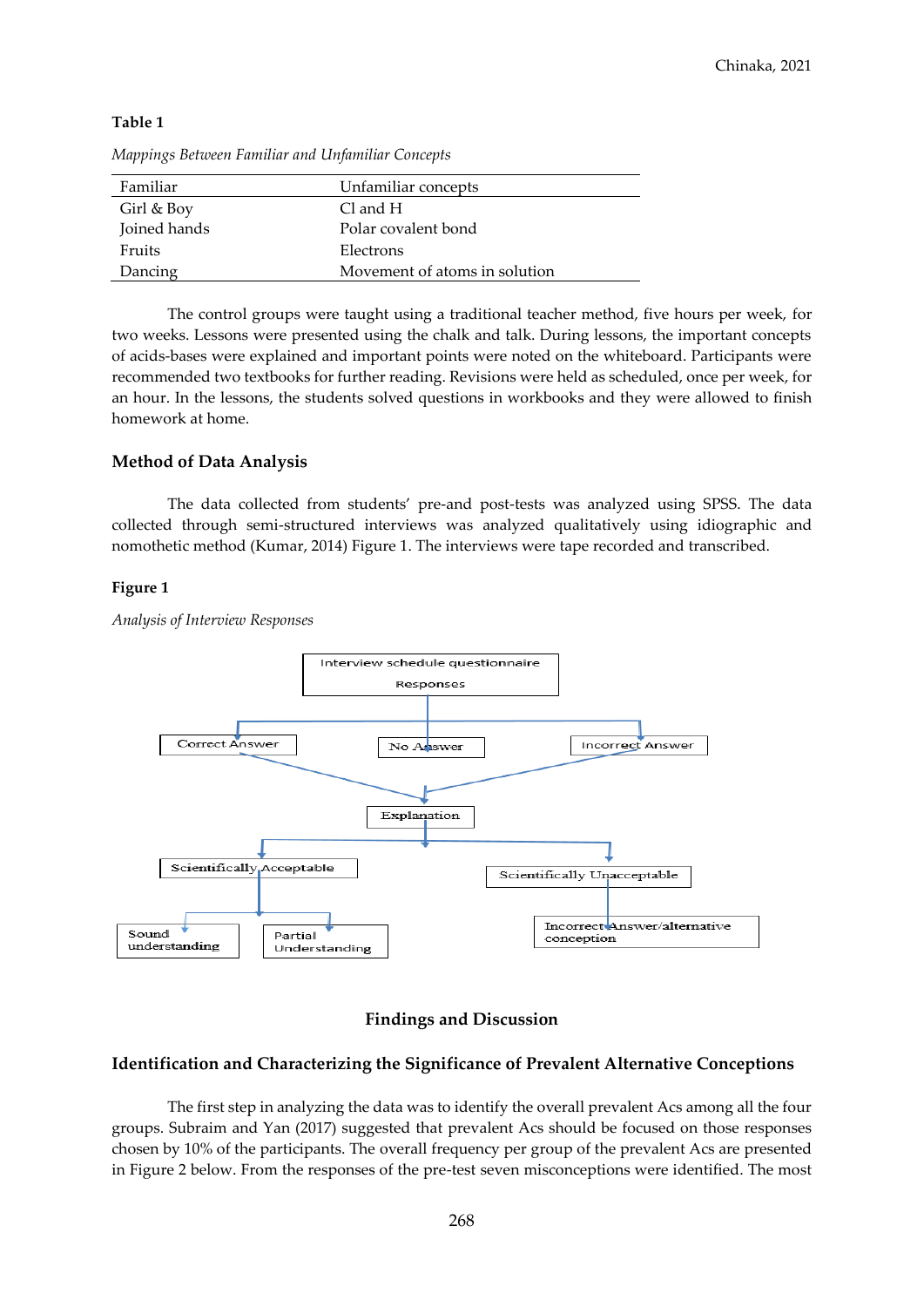| n<br>п. |  |
|---------|--|
|---------|--|

| Familiar     | Unfamiliar concepts           |
|--------------|-------------------------------|
| Girl & Boy   | Cl and H                      |
| Joined hands | Polar covalent bond           |
| Fruits       | Electrons                     |
| Dancing      | Movement of atoms in solution |

*Mappings Between Familiar and Unfamiliar Concepts*

The control groups were taught using a traditional teacher method, five hours per week, for two weeks. Lessons were presented using the chalk and talk. During lessons, the important concepts of acids-bases were explained and important points were noted on the whiteboard. Participants were recommended two textbooks for further reading. Revisions were held as scheduled, once per week, for an hour. In the lessons, the students solved questions in workbooks and they were allowed to finish homework at home.

# **Method of Data Analysis**

The data collected from students' pre-and post-tests was analyzed using SPSS. The data collected through semi-structured interviews was analyzed qualitatively using idiographic and nomothetic method (Kumar, 2014) Figure 1. The interviews were tape recorded and transcribed.

# **Figure 1**

*Analysis of Interview Responses*



# **Findings and Discussion**

# **Identification and Characterizing the Significance of Prevalent Alternative Conceptions**

The first step in analyzing the data was to identify the overall prevalent Acs among all the four groups. Subraim and Yan (2017) suggested that prevalent Acs should be focused on those responses chosen by 10% of the participants. The overall frequency per group of the prevalent Acs are presented in Figure 2 below. From the responses of the pre-test seven misconceptions were identified. The most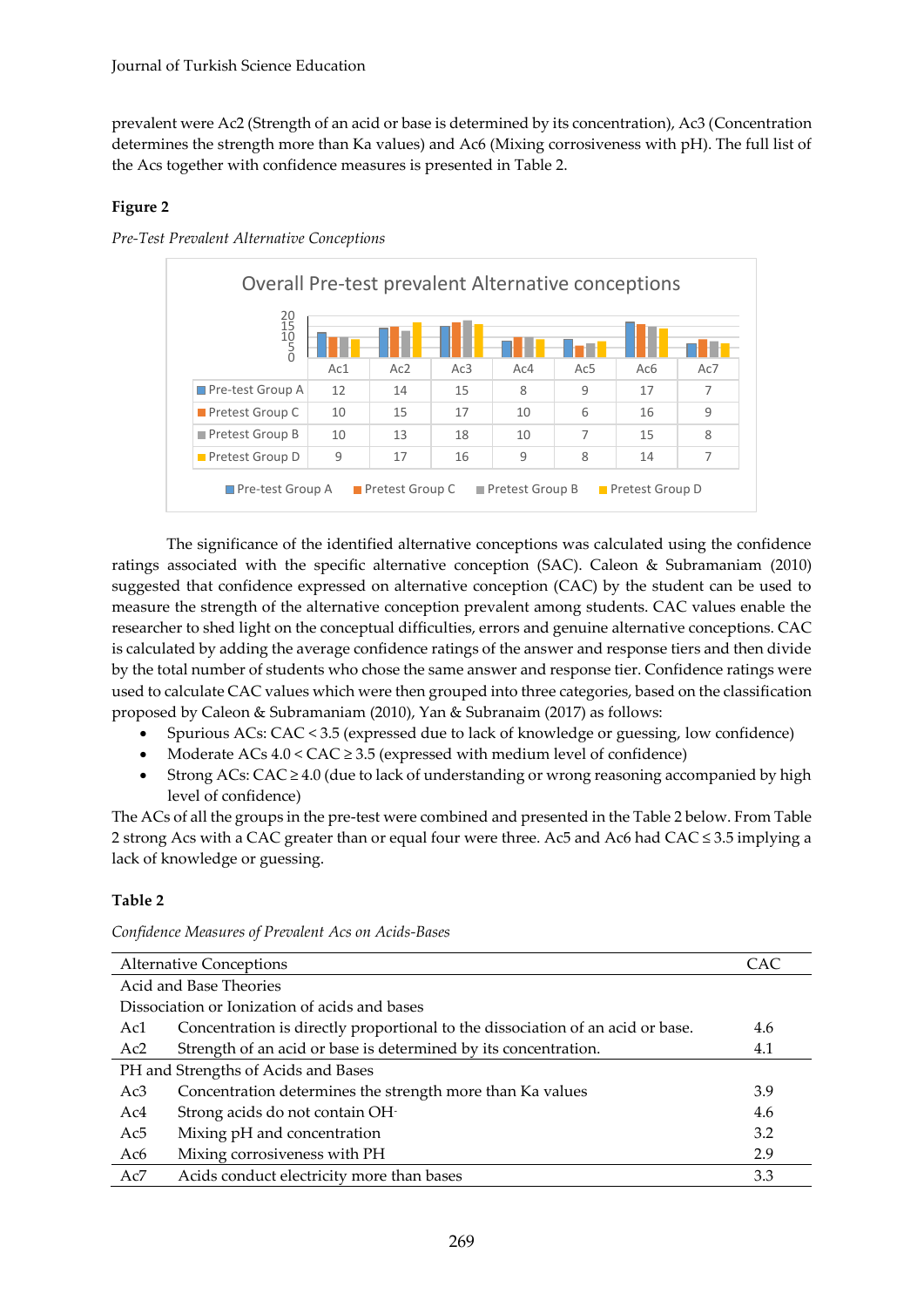prevalent were Ac2 (Strength of an acid or base is determined by its concentration), Ac3 (Concentration determines the strength more than Ka values) and Ac6 (Mixing corrosiveness with pH). The full list of the Acs together with confidence measures is presented in Table 2.

# **Figure 2**



*Pre-Test Prevalent Alternative Conceptions*

The significance of the identified alternative conceptions was calculated using the confidence ratings associated with the specific alternative conception (SAC). Caleon & Subramaniam (2010) suggested that confidence expressed on alternative conception (CAC) by the student can be used to measure the strength of the alternative conception prevalent among students. CAC values enable the researcher to shed light on the conceptual difficulties, errors and genuine alternative conceptions. CAC is calculated by adding the average confidence ratings of the answer and response tiers and then divide by the total number of students who chose the same answer and response tier. Confidence ratings were used to calculate CAC values which were then grouped into three categories, based on the classification proposed by Caleon & Subramaniam (2010), Yan & Subranaim (2017) as follows:

- Spurious ACs: CAC < 3.5 (expressed due to lack of knowledge or guessing, low confidence)
- Moderate  $ACs$  4.0 <  $CAC \geq 3.5$  (expressed with medium level of confidence)
- Strong ACs: CAC  $\geq$  4.0 (due to lack of understanding or wrong reasoning accompanied by high level of confidence)

The ACs of all the groups in the pre-test were combined and presented in the Table 2 below. From Table 2 strong Acs with a CAC greater than or equal four were three. Ac5 and Ac6 had CAC ≤ 3.5 implying a lack of knowledge or guessing.

# **Table 2**

*Confidence Measures of Prevalent Acs on Acids-Bases*

|                                     | <b>Alternative Conceptions</b>                                                 | CAC. |  |  |  |
|-------------------------------------|--------------------------------------------------------------------------------|------|--|--|--|
|                                     | Acid and Base Theories                                                         |      |  |  |  |
|                                     | Dissociation or Ionization of acids and bases                                  |      |  |  |  |
| Ac1                                 | Concentration is directly proportional to the dissociation of an acid or base. | 4.6  |  |  |  |
| Ac2                                 | Strength of an acid or base is determined by its concentration.                | 4.1  |  |  |  |
| PH and Strengths of Acids and Bases |                                                                                |      |  |  |  |
| Ac3                                 | Concentration determines the strength more than Ka values                      | 3.9  |  |  |  |
| Ac4                                 | Strong acids do not contain OH-                                                | 4.6  |  |  |  |
| Ac <sub>5</sub>                     | Mixing pH and concentration                                                    | 3.2  |  |  |  |
| Ac6                                 | Mixing corrosiveness with PH                                                   | 2.9  |  |  |  |
| Ac7                                 | Acids conduct electricity more than bases                                      | 3.3  |  |  |  |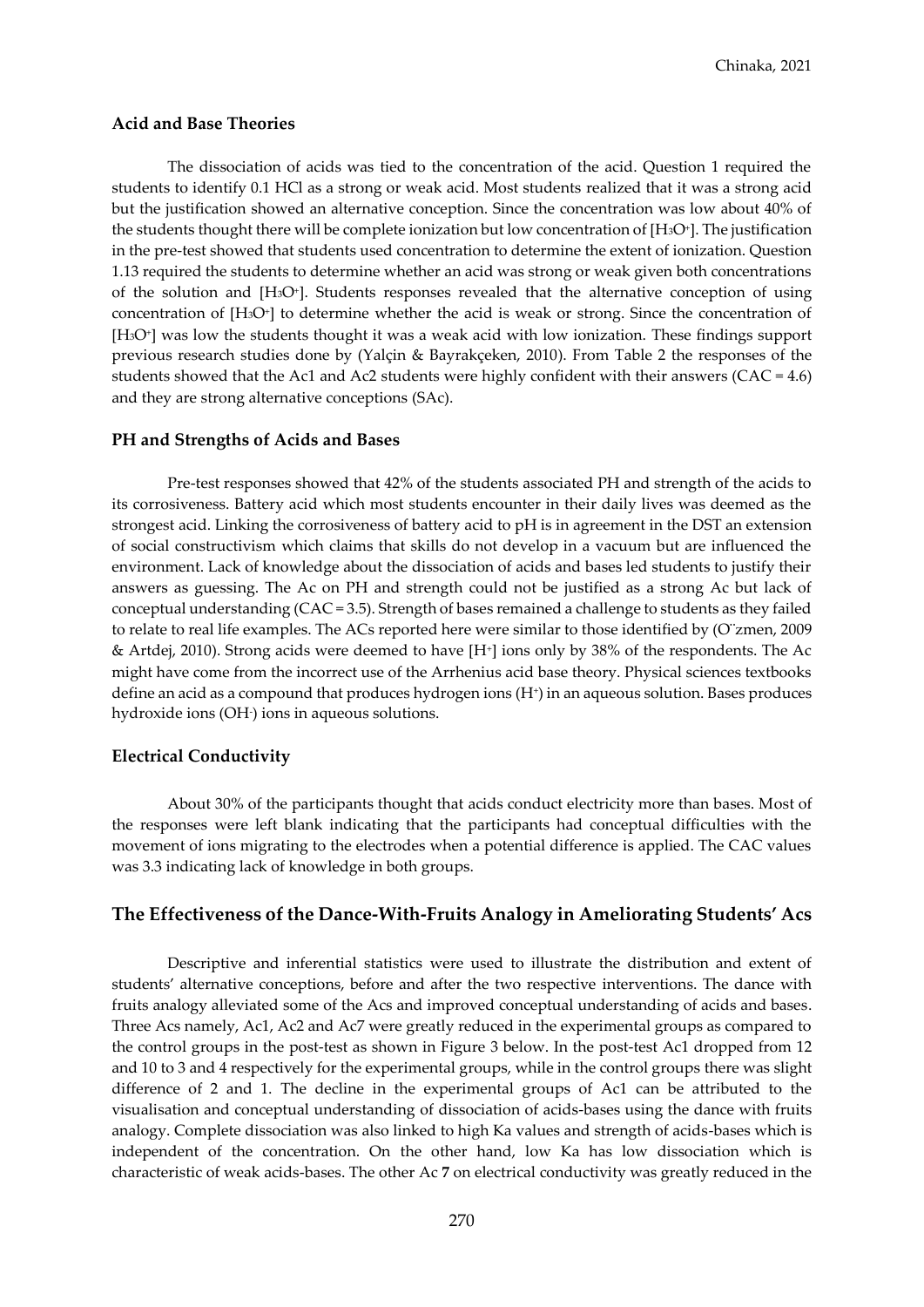#### **Acid and Base Theories**

The dissociation of acids was tied to the concentration of the acid. Question 1 required the students to identify 0.1 HCl as a strong or weak acid. Most students realized that it was a strong acid but the justification showed an alternative conception. Since the concentration was low about 40% of the students thought there will be complete ionization but low concentration of  $[H_3O^*]$ . The justification in the pre-test showed that students used concentration to determine the extent of ionization. Question 1.13 required the students to determine whether an acid was strong or weak given both concentrations of the solution and [H3O<sup>+</sup> ]. Students responses revealed that the alternative conception of using concentration of [H3O<sup>+</sup> ] to determine whether the acid is weak or strong. Since the concentration of [H3O<sup>+</sup> ] was low the students thought it was a weak acid with low ionization. These findings support previous research studies done by (Yalçin & Bayrakçeken, 2010). From Table 2 the responses of the students showed that the Ac1 and Ac2 students were highly confident with their answers (CAC = 4.6) and they are strong alternative conceptions (SAc).

#### **PH and Strengths of Acids and Bases**

Pre-test responses showed that 42% of the students associated PH and strength of the acids to its corrosiveness. Battery acid which most students encounter in their daily lives was deemed as the strongest acid. Linking the corrosiveness of battery acid to pH is in agreement in the DST an extension of social constructivism which claims that skills do not develop in a vacuum but are influenced the environment. Lack of knowledge about the dissociation of acids and bases led students to justify their answers as guessing. The Ac on PH and strength could not be justified as a strong Ac but lack of conceptual understanding (CAC = 3.5). Strength of bases remained a challenge to students as they failed to relate to real life examples. The ACs reported here were similar to those identified by (O¨zmen, 2009 & Artdej, 2010). Strong acids were deemed to have [H<sup>+</sup> ] ions only by 38% of the respondents. The Ac might have come from the incorrect use of the Arrhenius acid base theory. Physical sciences textbooks define an acid as a compound that produces hydrogen ions (H<sup>+</sup> ) in an aqueous solution. Bases produces hydroxide ions (OH- ) ions in aqueous solutions.

#### **Electrical Conductivity**

About 30% of the participants thought that acids conduct electricity more than bases. Most of the responses were left blank indicating that the participants had conceptual difficulties with the movement of ions migrating to the electrodes when a potential difference is applied. The CAC values was 3.3 indicating lack of knowledge in both groups.

#### **The Effectiveness of the Dance-With-Fruits Analogy in Ameliorating Students' Acs**

Descriptive and inferential statistics were used to illustrate the distribution and extent of students' alternative conceptions, before and after the two respective interventions. The dance with fruits analogy alleviated some of the Acs and improved conceptual understanding of acids and bases. Three Acs namely, Ac1, Ac2 and Ac7 were greatly reduced in the experimental groups as compared to the control groups in the post-test as shown in Figure 3 below. In the post-test Ac1 dropped from 12 and 10 to 3 and 4 respectively for the experimental groups, while in the control groups there was slight difference of 2 and 1. The decline in the experimental groups of Ac1 can be attributed to the visualisation and conceptual understanding of dissociation of acids-bases using the dance with fruits analogy. Complete dissociation was also linked to high Ka values and strength of acids-bases which is independent of the concentration. On the other hand, low Ka has low dissociation which is characteristic of weak acids-bases. The other Ac **7** on electrical conductivity was greatly reduced in the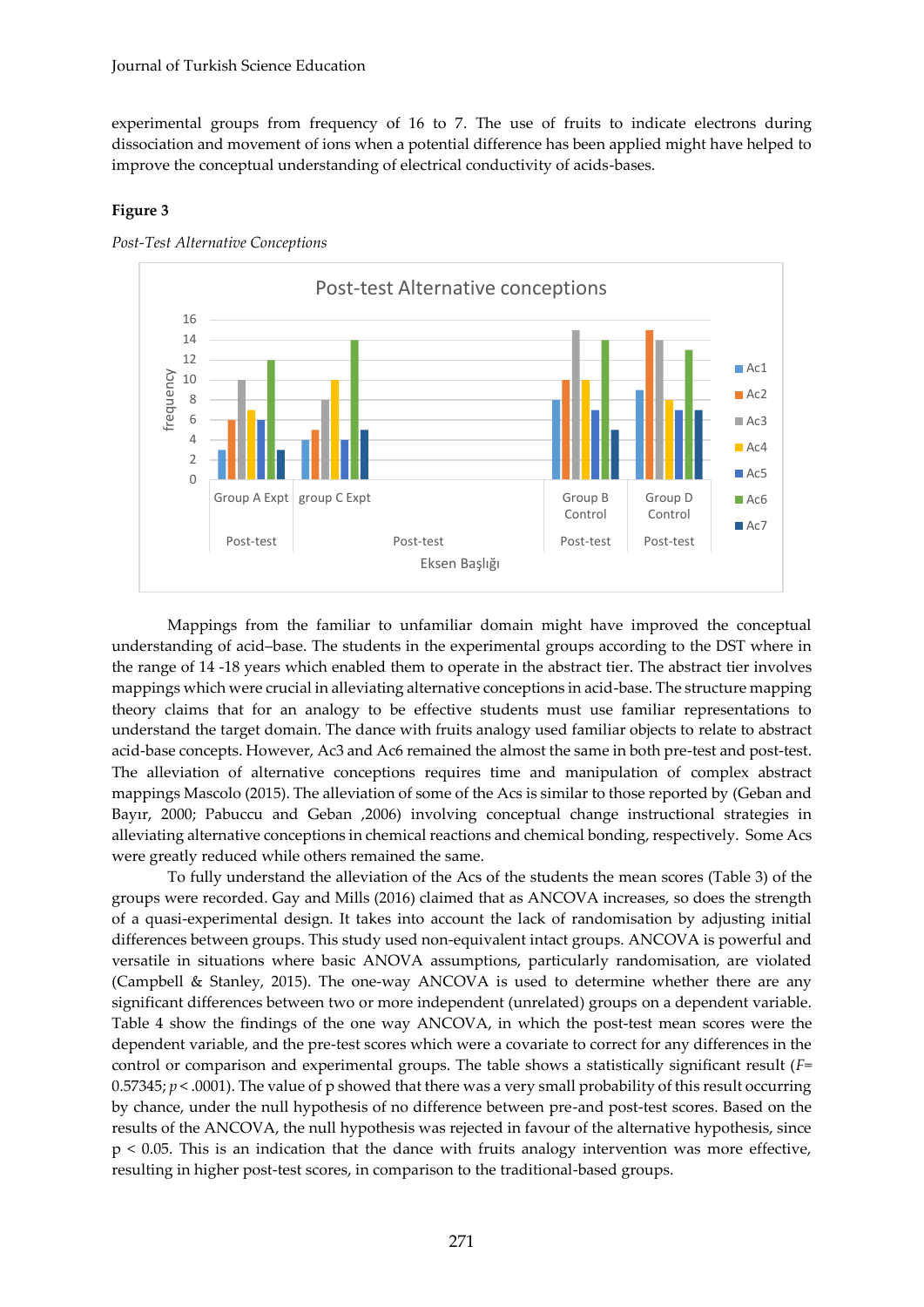experimental groups from frequency of 16 to 7. The use of fruits to indicate electrons during dissociation and movement of ions when a potential difference has been applied might have helped to improve the conceptual understanding of electrical conductivity of acids-bases.

#### **Figure 3**



*Post-Test Alternative Conceptions*

Mappings from the familiar to unfamiliar domain might have improved the conceptual understanding of acid–base. The students in the experimental groups according to the DST where in the range of 14 -18 years which enabled them to operate in the abstract tier. The abstract tier involves mappings which were crucial in alleviating alternative conceptions in acid-base. The structure mapping theory claims that for an analogy to be effective students must use familiar representations to understand the target domain. The dance with fruits analogy used familiar objects to relate to abstract acid-base concepts. However, Ac3 and Ac6 remained the almost the same in both pre-test and post-test. The alleviation of alternative conceptions requires time and manipulation of complex abstract mappings Mascolo (2015). The alleviation of some of the Acs is similar to those reported by (Geban and Bayır, 2000; Pabuccu and Geban ,2006) involving conceptual change instructional strategies in alleviating alternative conceptions in chemical reactions and chemical bonding, respectively. Some Acs were greatly reduced while others remained the same.

To fully understand the alleviation of the Acs of the students the mean scores (Table 3) of the groups were recorded. Gay and Mills (2016) claimed that as ANCOVA increases, so does the strength of a quasi-experimental design. It takes into account the lack of randomisation by adjusting initial differences between groups. This study used non-equivalent intact groups. ANCOVA is powerful and versatile in situations where basic ANOVA assumptions, particularly randomisation, are violated (Campbell & Stanley, 2015). The one-way ANCOVA is used to determine whether there are any significant differences between two or more independent (unrelated) groups on a dependent variable. Table 4 show the findings of the one way ANCOVA, in which the post-test mean scores were the dependent variable, and the pre-test scores which were a covariate to correct for any differences in the control or comparison and experimental groups. The table shows a statistically significant result (*F=* 0.57345;  $p < 0.0001$ ). The value of p showed that there was a very small probability of this result occurring by chance, under the null hypothesis of no difference between pre-and post-test scores. Based on the results of the ANCOVA, the null hypothesis was rejected in favour of the alternative hypothesis, since p < 0.05. This is an indication that the dance with fruits analogy intervention was more effective, resulting in higher post-test scores, in comparison to the traditional-based groups.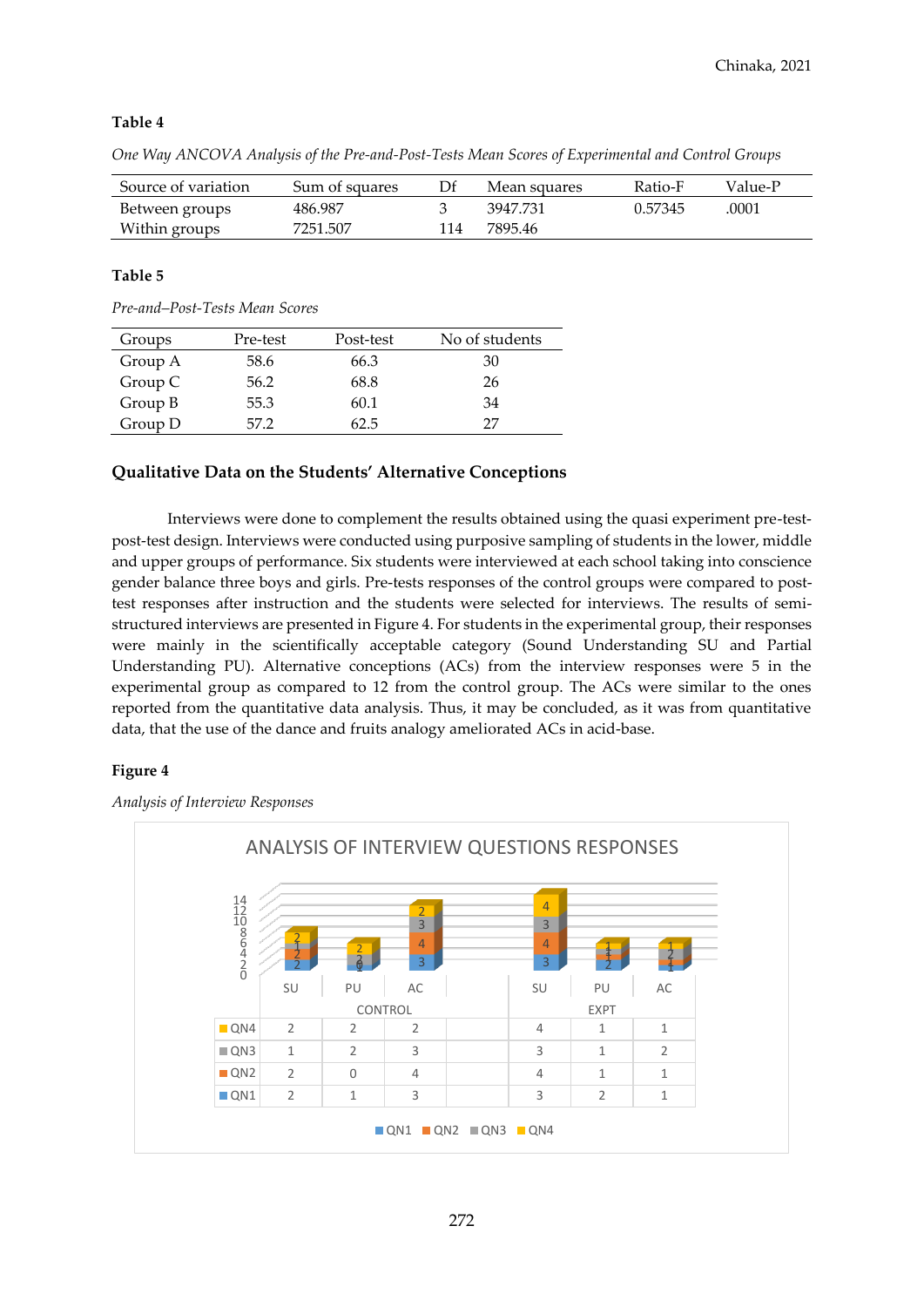# **Table 4**

*One Way ANCOVA Analysis of the Pre-and-Post-Tests Mean Scores of Experimental and Control Groups*

| Source of variation | Sum of squares | Df  | Mean squares | Ratio-F | Value-P |
|---------------------|----------------|-----|--------------|---------|---------|
| Between groups      | 486.987        |     | 3947.731     | 0.57345 | .0001   |
| Within groups       | 7251.507       | 114 | 7895 46      |         |         |

# **Table 5**

*Pre-and–Post-Tests Mean Scores*

| Groups  | Pre-test | Post-test | No of students |
|---------|----------|-----------|----------------|
| Group A | 58.6     | 66.3      | 30             |
| Group C | 56.2     | 68.8      | 26             |
| Group B | 55.3     | 60.1      | 34             |
| Group D | 57.2     | 62.5      | דר             |

# **Qualitative Data on the Students' Alternative Conceptions**

Interviews were done to complement the results obtained using the quasi experiment pre-testpost-test design. Interviews were conducted using purposive sampling of students in the lower, middle and upper groups of performance. Six students were interviewed at each school taking into conscience gender balance three boys and girls. Pre-tests responses of the control groups were compared to posttest responses after instruction and the students were selected for interviews. The results of semistructured interviews are presented in Figure 4. For students in the experimental group, their responses were mainly in the scientifically acceptable category (Sound Understanding SU and Partial Understanding PU). Alternative conceptions (ACs) from the interview responses were 5 in the experimental group as compared to 12 from the control group. The ACs were similar to the ones reported from the quantitative data analysis. Thus, it may be concluded, as it was from quantitative data, that the use of the dance and fruits analogy ameliorated ACs in acid-base.

#### **Figure 4**

*Analysis of Interview Responses*

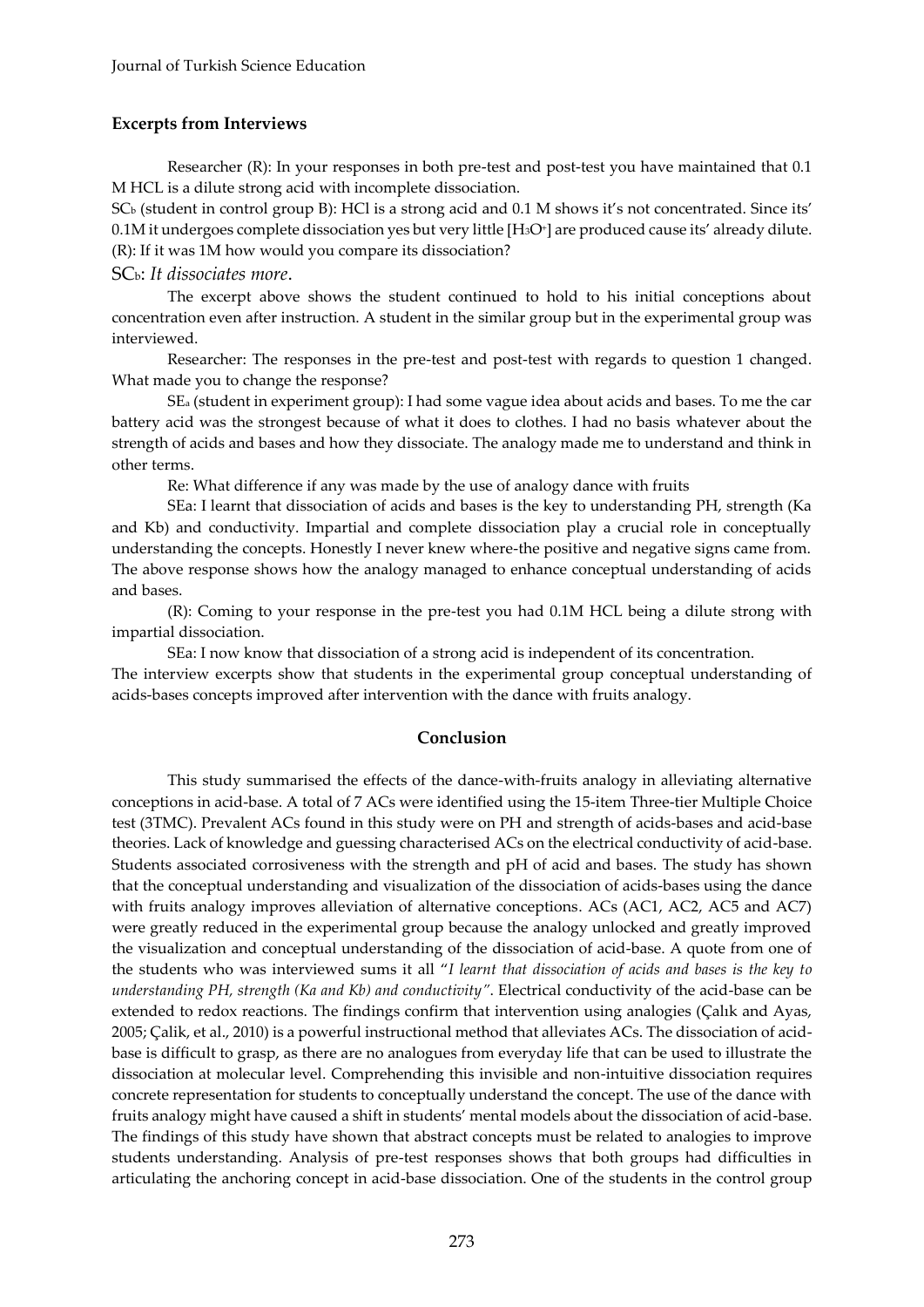# **Excerpts from Interviews**

Researcher (R): In your responses in both pre-test and post-test you have maintained that 0.1 M HCL is a dilute strong acid with incomplete dissociation.

SC<sup>b</sup> (student in control group B): HCl is a strong acid and 0.1 M shows it's not concentrated. Since its' 0.1M it undergoes complete dissociation yes but very little [H3O<sup>+</sup> ] are produced cause its' already dilute. (R): If it was 1M how would you compare its dissociation?

# SCb: *It dissociates more*.

The excerpt above shows the student continued to hold to his initial conceptions about concentration even after instruction. A student in the similar group but in the experimental group was interviewed.

Researcher: The responses in the pre-test and post-test with regards to question 1 changed. What made you to change the response?

SE<sup>a</sup> (student in experiment group): I had some vague idea about acids and bases. To me the car battery acid was the strongest because of what it does to clothes. I had no basis whatever about the strength of acids and bases and how they dissociate. The analogy made me to understand and think in other terms.

Re: What difference if any was made by the use of analogy dance with fruits

SEa: I learnt that dissociation of acids and bases is the key to understanding PH, strength (Ka and Kb) and conductivity. Impartial and complete dissociation play a crucial role in conceptually understanding the concepts. Honestly I never knew where-the positive and negative signs came from. The above response shows how the analogy managed to enhance conceptual understanding of acids and bases.

(R): Coming to your response in the pre-test you had 0.1M HCL being a dilute strong with impartial dissociation.

SEa: I now know that dissociation of a strong acid is independent of its concentration. The interview excerpts show that students in the experimental group conceptual understanding of acids-bases concepts improved after intervention with the dance with fruits analogy.

# **Conclusion**

This study summarised the effects of the dance-with-fruits analogy in alleviating alternative conceptions in acid-base. A total of 7 ACs were identified using the 15-item Three-tier Multiple Choice test (3TMC). Prevalent ACs found in this study were on PH and strength of acids-bases and acid-base theories. Lack of knowledge and guessing characterised ACs on the electrical conductivity of acid-base. Students associated corrosiveness with the strength and pH of acid and bases. The study has shown that the conceptual understanding and visualization of the dissociation of acids-bases using the dance with fruits analogy improves alleviation of alternative conceptions. ACs (AC1, AC2, AC5 and AC7) were greatly reduced in the experimental group because the analogy unlocked and greatly improved the visualization and conceptual understanding of the dissociation of acid-base. A quote from one of the students who was interviewed sums it all "*I learnt that dissociation of acids and bases is the key to understanding PH, strength (Ka and Kb) and conductivity"*. Electrical conductivity of the acid-base can be extended to redox reactions. The findings confirm that intervention using analogies (Çalık and Ayas, 2005; Çalik, et al., 2010) is a powerful instructional method that alleviates ACs. The dissociation of acidbase is difficult to grasp, as there are no analogues from everyday life that can be used to illustrate the dissociation at molecular level. Comprehending this invisible and non-intuitive dissociation requires concrete representation for students to conceptually understand the concept. The use of the dance with fruits analogy might have caused a shift in students' mental models about the dissociation of acid-base. The findings of this study have shown that abstract concepts must be related to analogies to improve students understanding. Analysis of pre-test responses shows that both groups had difficulties in articulating the anchoring concept in acid-base dissociation. One of the students in the control group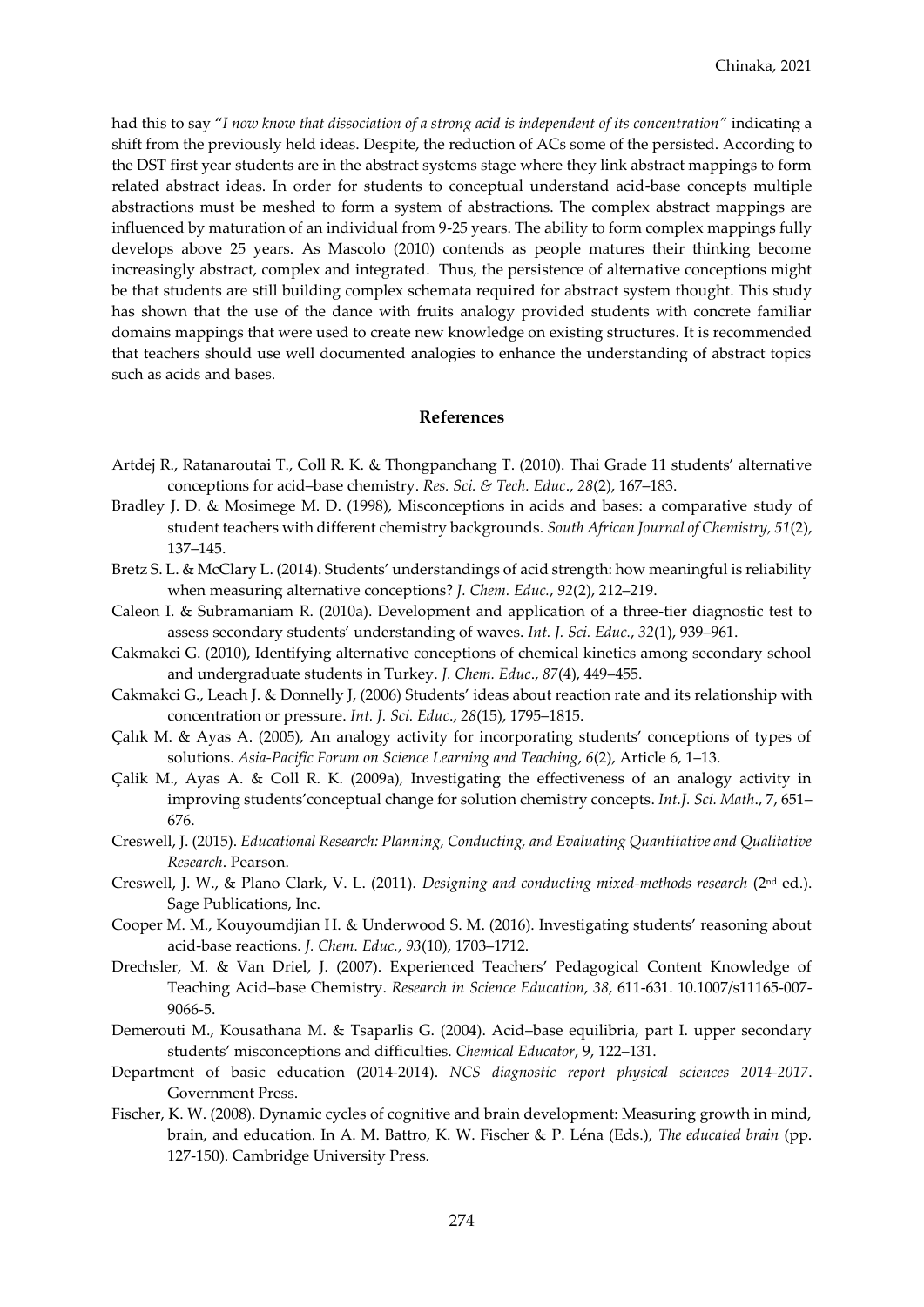had this to say "*I now know that dissociation of a strong acid is independent of its concentration"* indicating a shift from the previously held ideas. Despite, the reduction of ACs some of the persisted. According to the DST first year students are in the abstract systems stage where they link abstract mappings to form related abstract ideas. In order for students to conceptual understand acid-base concepts multiple abstractions must be meshed to form a system of abstractions. The complex abstract mappings are influenced by maturation of an individual from 9-25 years. The ability to form complex mappings fully develops above 25 years. As Mascolo (2010) contends as people matures their thinking become increasingly abstract, complex and integrated. Thus, the persistence of alternative conceptions might be that students are still building complex schemata required for abstract system thought. This study has shown that the use of the dance with fruits analogy provided students with concrete familiar domains mappings that were used to create new knowledge on existing structures. It is recommended that teachers should use well documented analogies to enhance the understanding of abstract topics such as acids and bases.

#### **References**

- Artdej R., Ratanaroutai T., Coll R. K. & Thongpanchang T. (2010). Thai Grade 11 students' alternative conceptions for acid–base chemistry. *Res. Sci. & Tech. Educ*., *28*(2), 167–183.
- Bradley J. D. & Mosimege M. D. (1998), Misconceptions in acids and bases: a comparative study of student teachers with different chemistry backgrounds. *South African Journal of Chemistry, 51*(2), 137–145.
- Bretz S. L. & McClary L. (2014). Students' understandings of acid strength: how meaningful is reliability when measuring alternative conceptions? *J. Chem. Educ.*, *92*(2), 212–219.
- Caleon I. & Subramaniam R. (2010a). Development and application of a three-tier diagnostic test to assess secondary students' understanding of waves. *Int. J. Sci. Educ.*, *32*(1), 939–961.
- Cakmakci G. (2010), Identifying alternative conceptions of chemical kinetics among secondary school and undergraduate students in Turkey. *J. Chem. Educ*., *87*(4), 449–455.
- Cakmakci G., Leach J. & Donnelly J, (2006) Students' ideas about reaction rate and its relationship with concentration or pressure. *Int. J. Sci. Educ*., *28*(15), 1795–1815.
- Çalık M. & Ayas A. (2005), An analogy activity for incorporating students' conceptions of types of solutions. *Asia-Pacific Forum on Science Learning and Teaching*, *6*(2), Article 6, 1–13.
- Çalik M., Ayas A. & Coll R. K. (2009a), Investigating the effectiveness of an analogy activity in improving students'conceptual change for solution chemistry concepts. *Int.J. Sci. Math*., 7, 651– 676.
- Creswell, J. (2015). *Educational Research: Planning, Conducting, and Evaluating Quantitative and Qualitative Research*. Pearson.
- Creswell, J. W., & Plano Clark, V. L. (2011). *Designing and conducting mixed-methods research* (2nd ed.). Sage Publications, Inc.
- Cooper M. M., Kouyoumdjian H. & Underwood S. M. (2016). Investigating students' reasoning about acid-base reactions*. J. Chem. Educ.*, *93*(10), 1703–1712.
- Drechsler, M. & Van Driel, J. (2007). Experienced Teachers' Pedagogical Content Knowledge of Teaching Acid–base Chemistry. *Research in Science Education*, *38*, 611-631. 10.1007/s11165-007- 9066-5.
- Demerouti M., Kousathana M. & Tsaparlis G. (2004). Acid–base equilibria, part I. upper secondary students' misconceptions and difficulties. *Chemical Educator*, 9, 122–131.
- Department of basic education (2014-2014). *NCS diagnostic report physical sciences 2014-2017*. Government Press.
- Fischer, K. W. (2008). Dynamic cycles of cognitive and brain development: Measuring growth in mind, brain, and education. In A. M. Battro, K. W. Fischer & P. Léna (Eds.), *The educated brain* (pp. 127-150). Cambridge University Press.